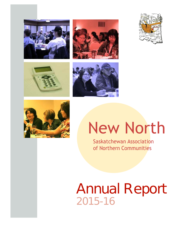











# New North

Saskatchewan Association of Northern Communities

## Annual Report 2015-16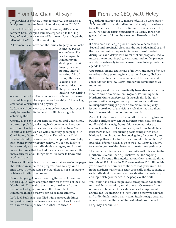O n behalf of the New North Executive, I am pleased to present the New North Annual Report for 2015-16.

I came to the Chair position in November, 2015, after our former Chair, Georgina Jolibois, stepped up to the "big league" as the new Member of Parliament for the Desnethé— Missinippi—Churchill River riding.

A few months later, we had the terrible tragedy in La Loche.



It affected people everywhere. The leadership of that community in dealing with that tragedy has been nothing short of amazing. We all know, I think, as leaders of our communities, how the pressures of dealing with terrible

events can take its toll on you personally, how it can stretch you out, take you places you never thought you'd have to go, emotionally, mentally and physically.

La Loche will come out of this tragedy stronger than ever. I truly believe that. Its leadership will play a big role in achieving that.

Coming to the end of our terms as Mayors and Councillors, we are all probably reflecting back on what we have seen and done. I've been lucky as a member of the New North Executive to have worked with some very good people. In Gord Stomp, Duane Favel, Isidore Desjarlais, and Val Deschambeault you know you have people who won't step back from saying what they believe. We're very lucky to have strongly spoken individuals among us, and I count myself fortunate that I've had the chance to become a little more educated about things since I've come to know and work with them.

There's still plenty left to do, and so what we see in the pages that follow are updates on progress, and not any kind of final word. Anyone who says that there is not a lot more to achieve is kidding themselves.

Before I let you get on with reading the rest of this annual report, a quick word of appreciation for the work of the New North staff. I know the staff try very hard to make the Executive look good, and open the channels of communication, so that we can all be more effective.

Let's look back on a year filled with some rough things happening, take what lessons we can, and look forward with warm and open hearts to what lies ahead. •

### From the Chair, Al Sayn From the CEO, Matt Heley

**W** ithout question the 12 months of 2015-16 were mostly<br>very difficult and challenging. Not only did we lose a  $V$  very difficult and challenging. Not only did we lose a lot of the summer with the wildfires and evacuations in July 2015, we had the terrible incident in La Loche. It has not generally been a 12 months we would like to have back again.

It's also been challenging for a number of other reasons. Federal and provincial elections, the late budget in 2016 and the fiscal context of the provincial government, created disruptions and delays for a number of our programs, led to uncertainty for municipal governments and for the partners we rely on so heavily in senior government to help push the agenda forward.

Uncertainty creates challenges of its own, and quite often we found ourselves planning in a vacuum. Even so, I believe that this year has been one of considerable progress and consolidation for New North, and for the communities we represent.

I am very proud that we have finally been able to launch our Finance and Administration Program. Partnering with Northern Municipal Services, I sincerely think that this program will create genuine opportunities for northern municipalities struggling with administrative capacity issues to break out of the vicious cycle that has held them back from reaching their optimum potential.

As well, I believe we are in the middle of an exciting time in building bridges between the northern municipalities and our First Nations neighbours. Many communities are coming together on all sorts of levels, and New North has been there as well, establishing partnerships with First Nations leadership to combat bootlegging, for example, and creating pathways for further meaningful collaboration. A great deal of credit needs to go to the New North Executive for clearing some of the obstacles to create these pathways.

The municipalities have also done quite well this year in the Northern Revenue Sharing. I believe that the ongoing Northern Revenue Sharing deal for northern municipalities– from about \$15 million in 2012 to more than \$20 million this year–shows the enormous confidence that government has in the northern municipal sector, especially in the capacity of each individual community to provide effective leadership and top-notch governance to the people of the north.

While this has been a tough year, I am optimistic about the future of the association, and the north. One reason I am optimistic is because of the calibre of leadership I see all around me. It's inspiring to work with so many passionate and individuals, and so many committed strategic partners who work with nothing but the best intentions in mind.

Long may it continue. •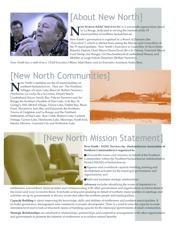

### [About New North]

**N EW NORTH–SANC SERVICES INC** is a non-profit organization, based in La Ronge, dedicated to serving the interests of the 35 municipalities of northern Saskatchewan.

New North's governance is supplied by a Board of Directors (the "Executive"), which is elected from among the Mayors and Councillors of the 35 municipalities. New North's Executive is Councillor Al Sayn (Stony Rapids), Deputy Chair Mayor Duane Favel (Ile a la Crosse), Treasurer Mayor Gord Stomp (Air Ronge), Val Deschambeault (Cumberland House), and Member at Large Isidore Desjarlais (Buffalo Narrows).

New North has a staff of two: Chief Executive Officer, Matt Heley, and an Executive Assistant, Emily Ross.

## [New North Communities]

**NEAR AND AN INCREDITED SERVING IN THE NO VILLAGES OF Green Lake, Beauval, Buffalo National Pinehouse, La Loche, Ile a la Crosse, Denare Beach,** ew North's members are the 35 municipalities of northern Saskatchewan. They are: The Northern Villages of Green Lake, Beauval, Buffalo Narrows, Cumberland House, Sandy Bay, Pelican Narrows and Air Ronge; the Northern Hamlets of Dore Lake, Cole Bay, St. George's Hill, Michel Village, Turnor Lake, Timber Bay, Black Point, Weyakwin, Jans Bay and Patuanak; the Northern Towns of Creighton and La Ronge; and the Northern Settlements of Sled Lake, Bear Creek, Brabant Lake, Camsell Portage, Garson Lake, Descharme Lake, Missinipe, South End, Stanley Mission, Uranium City and Wollaston Lake.





### [New North Mission Statement]

**New North – SANC Services Inc. (Saskatchewan Association of Northern Communities) is organized to:**

Advocate the issues and concerns on behalf of the Northern Communities within the Northern Saskatchewan Administrative District (NSAD) of Saskatchewan;

Organize and co-ordinate capacity building, training and development activities for the municipal governments and organizations; and

Build and maintain strategic relationships.

**Advocacy** includes identifying the issues of importance to

northerners and northern municipalities and communicating with other governments and organizations to inform them of the issues and ways to resolve them. It includes acting and speaking on behalf of northern municipalities in meetings and activities set up by governments to discuss issues that affect the northern people and municipalities.

**Capacity Building** is about improving the knowledge, skills and abilities of northerners and northern municipalities. It includes governance, management, and community economic development. There is a need to raise the capacity to some minimum level and to look at structural means of building capacity for the municipal governments of small communities.

**Strategic Relationships** are constructive relationships, partnerships and cooperative arrangements with other organizations and governments to promote the interests of northerners or to achieve mutual benefits.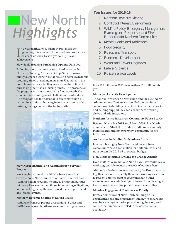## **New North** *Highlights*

 $\prod_{\rm ach}$ n a year marked once again by provincial belt tightening, there were still plenty of reasons for us to look back on 2015-16 as a year of significant achievements.

#### **New Sask. Housing Purchasing Options Unveiled**

Following more than two years of hard work by the Northern Housing Advisory Group, Sask. Housing finally launched its new social housing home-ownership program, aimed at making more than 50 families in the north homeowners after they were given the option of purchasing their Sask. Housing rental. The proceeds of the program will enter a revolving fund accessible by communities wanting to add to their own rental stock. The program has the potential to create more than \$10 million in additional housing investment in some of the fastest growing communities in the north.



### **New North Financial and Administration Services Program**

Working in partnership with Northern Municipal Services, New North launched our new Financial and Administration Program, helping to bring communities into compliance with their financial reporting obligations, and unlocking many thousands of dollars in provincial and federal grants.

### **Northern Revenue Sharing at Record Levels**

With help from our partner associations, SUMA and SARM, we've seen Northern Revenue Sharing increase

### **Top Issues for 2015-16**

- 1. Northern Revenue Sharing
- 2. Conflict of Interest Amendments
- 3. Wildfire Policy, Emergency Management Planning and Response, and Fire Protection for Northern Communities
- 4. Mental Health and Addictions
- 5. Food Security
- 6. Roads and Transport
- 7. Economic Development
- 8. Water and Sewer Upgrades
- 9. Lateral Violence
- 10. Police Service Levels

from \$15 million in 2011 to more than \$20 million this year.

#### **Municipal Capacity Development**

The annual Waterworks Workshop and the New North Administrators Conference signalled our continued commitment to building capacity in the municipal sector and helping support the efforts of our hard-working clerks and administrators.

#### **Northern Justice Initiatives–Community Police Boards**

Between November 2015 and March 2016 New North administered \$14,000 in funds to northern Community Police Boards and other northern community justice initiatives.

#### **An Increase in Funding for Northern Roads**

Intense lobbying by New North and the northern communities saw a \$55 million for northern roads and transport in the 2015-16 provincial budget.

#### **New North Executive Driving the Change Agenda**

Even in its 4th year, the New North Executive continues to work aggressively to meet the needs of our members.

Although scheduled to meet quarterly, the Executive came together far more frequently than that, working as a team to present a united front to government and other stakeholders on a whole range of issues, from policing, to food security, to wildfire protection and many others.

### **Member Engagement Continues as Priority**

It was another year of New North building on its communications and engagement strategy to ensure our members are kept in the loop on all our goings on, and can see their interests reflected in the association's activities.•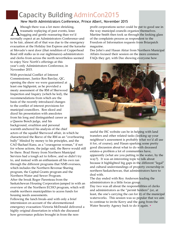### Capacity Building AdminCon2015

### New North Administrators Conference, Prince Albert, November 2015

**A** traumatic replaying of past events, knee<br>hugging and gentle reassuring than we'd<br>normally expect at an Administrators Conference-and lthough there was a lot more shrieking, traumatic replaying of past events, knee **L**hugging and gentle reassuring than we'd to be fair, almost all of that was due to the emergency evacuation at the Holiday Inn Express and the karaoke at Movado's next door (that rendition of Copperhead Road still stalks us in our nightmares)–administrators and clerks from across the north nevertheless seemed

to enjoy New North's offerings at this year's only Administrators Conference, in November 2015.

With provincial Conflict of Interest Commissioner, Justice Ron Barclay, QC, opening the show we were guaranteed at least one highpoint, as he provided a meaty assessment of the RM of Sherwood Inspection and Inquiry (which he led), the recommendations from which are the basis of the recently introduced changes to the conflict of interest provisions for municipal councillors. Ron sliced and diced his presentation with anecdotes from his long and distinguished career as a Queens Bench judge, and his background, erudition and personal warmth anchored his analysis of the chief

actors of the squalid Sherwood affair, in which he characterized the Reeve of the RM as an "overbearing bully" blinded by money to his principles, and the CAO Rachael Kunz, as a "courageous woman," if not for whose actions, the judge said, the Reeve would still be there. Brad Henry from Northern Municipal Services had a tough act to follow, and so didn't try to, and instead with an enthusiasm all his own ran through the different programs that NMS oversees, which includes the Northern Revenue Sharing program, the Capital Grants program and the Northern Water and Sewer Program. After the break Roger Parenteau from the Saskatchewan Housing Corporation jumped in with an

overview of the Northern ECHO program, which will enable northern municipalities to access funds for housing needs assessments.

Following the lunch break–and with only a brief intermission on account of the aforementioned emergency evacuation–Victoria McDonald delivered a highly original dissertation in which she discussed how governance policies brought in from the nonprofit corporations sector could be put to good use in the way municipal councils organize themselves. Martine Smith then took us through the looking glass of the complaints process as respondent to the Freedom of Information requests from Briarpatch magazine.

Dee John's and Hasan Aktar from Northern Municipal Affairs focused their session on the more common FAQs they get, with Dee showing everyone how



useful the ISC website can be in helping with land transfers and other related tasks (looking up your neighbour's assessment is probably what we'd all use it for, of course); and Hasan sparking some pretty good discussion about what to do with deceased estates–a problem a lot of communities have, apparently (what are you putting in the water, by the way?). It was an interesting topic to talk about because it highlighted big gaps in the different "legal" and cultural understandings of property ownership in northern Saskatchewan, that administrators have to deal with.

The day ended with Roy Anderson leading the administrators in a little focus group. Day two was all about the responsibilities of clerks and administrators as the "permit holders" (or, at least, the one's carrying the can for it) of the municipal waterworks. This session was so popular that we aim to continue to invite Kerry and the gang from the Water Security Agency back to do it again. •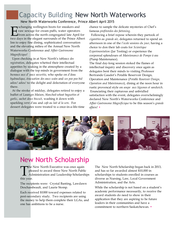### Capacity Building New North Waterworks

### New North Waterworks Conference, Prince Albert April 2015

xchanging wellington boots for sneakers and<br>
raw sewage for cream puffs, water operators<br>
from across the north congregated late April for<br>
two days in the elegant surrounds of the Prince Albert xchanging wellington boots for sneakers and raw sewage for cream puffs, water operators from across the north congregated late April for Inn to enjoy fine dining, sophisticated conversation and the elevating milieu of the Annual New North Waterworks Conference and *Affair Gastronome Magnificique!*

 Upon checking in at New North's *tableaux des registration*, delegates whetted their intellectual appetites by soaking in the atmosphere created by a dialogue with the top minds in government from the *bureaux aux d' eaux securitie*, who spoke on *d'deau hydraulique*, *évacuation des eaux usées* and *un poo poo bid adieu! adieu!* to the delight and delectation of everyone there.

 At the stroke of midday, delegates retired to enjoy a buffet of *Lasanges Maison*, *blanched-wheat baguettes et garlic*, *sachet deux biscuit*, washing it down with sparkling *verre d'eau* and *cafe au lait al la urn*. For dessert delegates were treated to a once-in-a-life-time

chance to sample the delicate mysteries of Chef's famous *profiteroles des fattening*.

 Following a brief repose wherein they partook of *cigarettes au grande air*, delegates returned to spend an afternoon in one of the *l'ecole sessions du jour*, having a choice to don their lab coats for *Scientique Experimentation* (Jar Testing) or experience the corporeal splendours of *Maintenance de Pompe à eau* (Pump Maintenance).

The final day-long session stoked the flames of intellectual inquiry and discovery once again as delegates bent their minds to visiting Professor Bertrande Gaudet's Potable Reservoir Design, Operation and Maintenance (*Potable Reservoir Design, Operation and Maintenance*), dining at the noon hour in rustic provencal style on *soupe aux légumes et sandwich*. Enunciating their rapturous and unbridled satisfaction with the event, delegates overwhelmingly declared New North's Waterworks Conference and *Affair Gastronome Magnificique* to be this season's *grande affaire!* •



### New North Scholarship

The<br>this year. The New North Executive was once again pleased to award three New North Public **L** Administration and Leadership Scholarships

The recipients were: Crystal Banting, Lawdawn Deschambeault, and Laurie Stomp.

Each received \$1000 toward expenses related to post-secondary study. Two recipients are using the money to help them complete their LGAs, and one has ambitions to be a nurse.

The New North Scholarship began back in 2013, and has so far awarded almost \$10,000 in scholarships to students enrolled in courses as diverse as Nursing, Law, Local Government Administration, and the Arts.

While the scholarship is not based on a student's academic performance necessarily, to receive the award students do need to show in their application that they are aspiring to be future leaders in their communities and have a commitment to northern Saskatchewan. •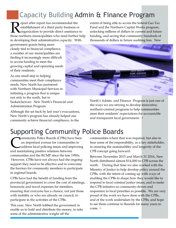### Capacity Building Admin & Finance Program

**R** eport after report has recommended the<br>
establishment of a third party business or<br>
those northern municipalities who need further help eport after report has recommended the establishment of a third party business or organization to provide direct assistance to in developing their administrative capacity. With

extent of being able to access the federal Gas Tax Fund and the Northern Capital Works program, unlocking millions of dollars in current and future funding, and saving that community hundreds of thousands of dollars in future auditing fees. New

government grants being more closely tied to financial compliance, a number of our municipalities are finding it increasingly more difficult to access funding to meet the growing capital and operating needs of their residents.

As one small step to helping communities meet their compliance needs, New North has partnered with Northern Municipal Services in initiating a program that is unique not only to the north, but to Saskatchewan: New North's Financial and

Administration Program.

Although the set back by last year's evacuations, New North's program has already helped one community achieve financial compliance, to the



North's Admin. and Finance Program is just one of the ways we are striving to develop innovative, northern-centred programs to help communities meet their residents' expectations for accountable and transparent local government.  $\bullet$ 

### Supporting Community Police Boards

**COMMUNIST CONSTRANS (CPBS)** has an important avenue for communitional and maintaining positive relations between ommunity Police Boards (CPBs) have been an important avenue for communities to address local policing issues and improving communities and the RCMP since the late 1990s. However, CPBs have not always had the ongoing support they need to be effective and to overcome the barriers for community members to participate in regional boards.

CPBs have had the benefit of funding from the provincial government to cover the cost of meetings, honoraria and travel expenses for members, ensuring that everyone has a chance, not just those with mobility or who are already on council, to participate in the activities of the CPBs.

This year, New North lobbied the government to enable us to hold and distribute the money, to take some of the administrative weight off the

communities where that was required, but also to bear some of the responsibility, as a key stakeholder, in ensuring the sustainability and longevity of the CPB concept going forward.

Between November 2015 and March 31 2016, New North distributed almost \$14,000 to CPB across the north. During that time we also worked with the Ministry of Justice to help develop policy around the CPBs, with the intent of coming up with ways of enabling the CPBs to shape how they would like to respond to local criminal justice issues, and to make the CPB initiative as community-driven and responsive to local priorities as possible. We are very proud of the work we have done with the CPBs , and of the work undertaken by the CPBs, and hope to see them continue to flourish for many years to come. •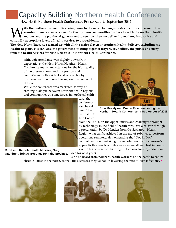### Capacity Building Northern Health Conference

New North Northern Health Conference, Prince Albert, September 2015

**W** country, there is always a need for the northern communities being home to the most regions and the provincial government to see how th culturally-appropriate levels of health services to our residents. *i***th the northern communities being home to the most challenging rates of chronic disease in the country, there is always a need for the northern communities to check in with the northern health regions and the provincial government to see how they are delivering modern, innovative and**

**The New North Executive teamed up with all the major players in northern health delivery, including the Health Regions, NITHA, and the government, to bring together mayors, councillors, the public and many from the health services for New North's 2015 Northern Health Conference.**

Although attendance was slightly down from expectations, the New North Northern Health Conference met all expectations for the high quality of the presentations, and the passion and commitment both evident and on display by northern health workers throughout the course of the event.

While the conference was marketed as way of creating dialogue between northern health regions and communities on some issues in northern health



care, the conference also heard from "health futurist" Dr Ken Coates



**Russ Mirasty and Duane Favel emceeing the Northern Health Conference in September of 2015.**

from the U of S on the opportunities and challenges wrought by technology in the field of health care. We also saw through a presentation by Dr Mendez from the Saskatoon Health Region what can be achieved in the use of robotics to perform operations remotely, demonstrating the "Doc in Box" technology by undertaking the remote removal of someone's appendix thousands of miles away as we all watched in horror via the big screen (just kidding, but an awesome agenda item

idea for next year). **Rural and Remote Health Minister, Greg Ottenbreit, brings greetings from the province.**

We also heard from northern health workers on the battle to control chronic illness in the north, as well the successes they've had in lowering the rate of HIV infections. •





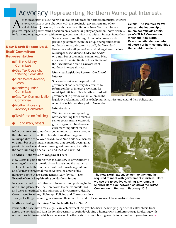### Advocacy Representing Northern Municipal Interests

Significant part of New North s role as an advocate for northern municipal interest<br>is to participate in consultations with the provincial government and other<br>positive impact on government's position on a particular polic significant part of New North's role as an advocate for northern municipal interests is to participate in consultations with the provincial government and other stakeholders. Quite often, through these consultations, New North can have a in daily and ongoing contact with many government ministries with an interest in northern

### **New North Executive &** anorthern municipal sector. As well, the New North of those northern communities **New North Executive and staff** quite often work alongside our fellow that couldn't make it. Saskatchewan, and through this contact we are able to provide government with the unique perspective of the Executive and staff quite often work alongside our fellow

municipal associations, SUMA and SARM, on a number of provincial committees. Here are some of the highlights of the activities of the Executive and staff as advocates of northern interests this year:

### **Municipal Legislative Reform: Conflict of Interest**

Since early last year the provincial government has been very determined to reform conflict of interest provisions for municipal officials. New North worked with government to provide consultation on the

legislative reforms, as well as to help municipalities understand their obligations when the legislation dropped in November.

#### **Infrastructure**

With infrastructure spending now accounting for so much of senior government's economic growth agenda it has become even more important for the

infrastructure-starved northern communities to have a voice at the table to ensure that the interests of small and regional municipalities are not overlooked. New North sits as a member on a number of provincial committees that provide oversight to provincial and federal government grant programs, including the New Building Canada Plan and the Gas Tax Fund.

### **Landfills: Solid Waste Management Team**

**Staff Committee Representation**

Team

Police Advisory **Committee** 

Gas Tax Oversight Steering Committee Solid Waste Advisory

Northern Justice **Committee** 

Northern Housing Advisory Committee

**Committee** 

Gas Tax Communication

Taskforce on Policing

… and many others

New North is going along with the Ministry of Environment's entering of a new pragmatic phase in assisting the municipal sector achieve both compliance with solid waste regulations and/or move to regional waste systems, as a part of the ministry's Solid Waste Management Team (SWAT). **The Executive Won't Stop Meeting on Northern Issues**

In a year marked by wildfires and issues around policing in the north–and plenty else– the New North Executive entertained and were entertained by the ministers of Environment, Health,

Government Relations, Highways, Policing and Corrections, in a

*Below:* **The Premier Mr Wall praised the leadership of municipal officials at this year's SUMA Convention, which the New North Executive attended on behalf**





**The New North Executive went to any lengths required to meet with government ministers. Here we see the Executive catching Environment Minister Herb Cox between courts at the SUMA Convention in Regina in February 2016.**

variety of settings, including meetings on their own turf and in locker rooms of the ministries' choosing.

### **Northern Strategic Planning: "For the North, by the North"**

Perhaps the Executive's most significant achievement this year has been the bringing together of stakeholders from across the political and jurisdictional spectrum to begin developing a homegrown northern strategy for dealing with northern social issues, which we believe will be the basis of of our lobbying agenda for a number of years to come. •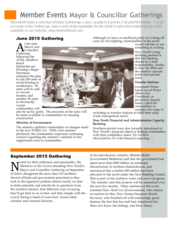### Member Events Mayor & Councillor Gatherings

New North holds a minimum of three Gatherings a year, usually in Summer, Fall and Mid-Winter. For full accounts of the Gatherings, take a look at the newsletter for the month in which the Gathering was held, available on our website, www.newnorthsask.org.

### **June 2015 Gathering**

 $\mathbf{A}^{\tiny \texttt{t} \, \texttt{th}}_{\tiny \texttt{Cou}}$ Gathering t the June Mayor and Councillor following the AGM, members heard Saskatchewan Housing's Roger Parenteau announce the plan to sell 100 units of social housing to northerners. 50 units will be sold to current tenants, and another 50 units in chronicallyvacant communities will



also be up for grabs. The proceeds of the sales will be made available to communities for housing construction

### **Ministry of Environment**

The ministry updated communities on changes made in the new *Wildfire Act.*  With a hot summer predicted, the communities expressed continuing concern regarding the ministry's attitude to fire suppression costs in communities.

Although we have an unofficial policy of writing-off costs for fire-fighting, municipalities in the north

would still like to see something in writing.

New North's longstanding position is that fire-fighting should be a dual responsibility, similar to how the RMs and the ministry operate in the burn permit areas.

### **Transfer Stations**

Greenland Waste, based out of Prince Albert (not Greenland, as previously hoped), made a pitch for communities to consider the value of

switching to transfer stations to fulfil their solid waste management needs.

### **New North Financial and Administration Capacity Building**

Northern elected were also formally introduced to New North's program aimed at helping communities with their compliance under *The Northern Municipalities Act* with financial reporting. •

### **September 2015 Gathering**

**N** oted for their politeness and punctuality,<br>Ministers of the Crown attending New N<br>10 didn't disappoint the more than 110 northern oted for their politeness and punctuality, the Ministers of the Crown attending New North's Mayor and Councillor Gathering on September elected officials and government personnel as they took to the figurative podium almost exactly on time to listen patiently and attentively to questions from the northern elected, find different ways of saying they'll get back to us on that, and then mingle with the crowd during a lunch of roast beef, tossed salad, coleslaw and assorted desserts.

In his introductory remarks, Minister Reiter (Government Relations) said that the government had spent more than \$200 million on municipal infrastructure in northern Saskatchewan, and announced that a further \$30 million had been allocated to the north under the New Building Canada Plan as part of the northern water and sewer program. The minister said that projects will be announced over the next few months. Other ministers at the event included Hon. Herb Cox (Environment), who missed an auction for this, Hon. Donna Harpauer (Social Services), who brushed-off with endearingly good humour the fact that her staff had abandoned her there (we know the feeling), and Hon. Nancy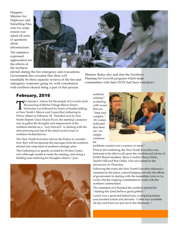Heppner, Minister for Highways and Something Else, who for some reason was asked all sorts of questions about infrastructure. The ministers expressed appreciation for

the efforts of the northern



elected during the fire emergency and evacuations. Government also revealed that there will essentially be three separate reviews of the fire and emergency responses going on, with consultation with northern elected being a part of that process.

Minister Reiter also said that the Northern Planning for Growth program–which helps communities with their OCPs–had been extended.•

### **February, 2016**

The minute's silence for the people of La Loche<br>the passing of Michel Village Mayor Ernest<br>Sylvestre) was followed by hours of fruitful ta<br>at New North's Mayor and Councillor Gathering in he minute's silence for the people of La Loche (and the passing of Michel Village Mayor Ernest  $\Box$  Sylvestre) was followed by hours of fruitful talking Prince Albert on February 18. Presided over by New North Deputy Chair Duane Favel, the meeting's purpose was to gather the thoughts and impressions of the northern elected on a "way forward" in dealing with the most pressing and top of the mind social issues in northern Saskatchewan.

The New North Executive met on the Friday to consider how they will incorporate the messages from the northern elected into some kind of northern strategic plan. The Gathering was greatly assisted by Dr Ken Coates, who although unable to make the meeting, sent along a briefing note outlining his thoughts about a "pan-



northern solution" in dealing with issues that are "deep and complex." Dr Coates indicated that there are "no simple solutions for



problems created over a century or more."

Prior to the Gathering, the New North Executive was fortunate to be able to call upon the wisdom and advice of SUMA Board members, Barry Gunther, Bruce Fidler, Darren Hill and Ron Osika, who also joined in the discussion on Thursday.

Following the event, the New North Executive released a statement to the press, acknowledging not only the efforts of government in dealing with the immediate crisis in La Loche, but the ongoing commitment to work with the northern communities.

The statement also thanked the northern elected for "making this [one] helluva good gabfest."

Lunch was a grain-fed baked ham, scalloped potatoes and assorted salads and desserts. Coffee was available all day and fruit was put out in the afternoon. •